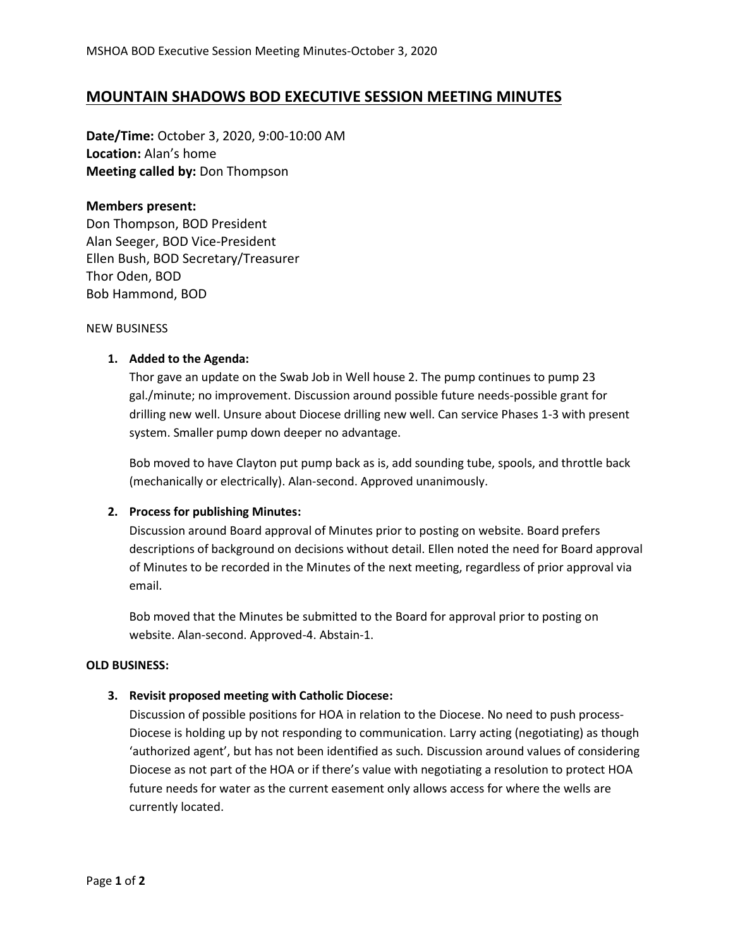# **MOUNTAIN SHADOWS BOD EXECUTIVE SESSION MEETING MINUTES**

**Date/Time:** October 3, 2020, 9:00-10:00 AM **Location:** Alan's home **Meeting called by:** Don Thompson

## **Members present:**

Don Thompson, BOD President Alan Seeger, BOD Vice-President Ellen Bush, BOD Secretary/Treasurer Thor Oden, BOD Bob Hammond, BOD

NEW BUSINESS

## **1. Added to the Agenda:**

Thor gave an update on the Swab Job in Well house 2. The pump continues to pump 23 gal./minute; no improvement. Discussion around possible future needs-possible grant for drilling new well. Unsure about Diocese drilling new well. Can service Phases 1-3 with present system. Smaller pump down deeper no advantage.

Bob moved to have Clayton put pump back as is, add sounding tube, spools, and throttle back (mechanically or electrically). Alan-second. Approved unanimously.

## **2. Process for publishing Minutes:**

Discussion around Board approval of Minutes prior to posting on website. Board prefers descriptions of background on decisions without detail. Ellen noted the need for Board approval of Minutes to be recorded in the Minutes of the next meeting, regardless of prior approval via email.

Bob moved that the Minutes be submitted to the Board for approval prior to posting on website. Alan-second. Approved-4. Abstain-1.

### **OLD BUSINESS:**

## **3. Revisit proposed meeting with Catholic Diocese:**

Discussion of possible positions for HOA in relation to the Diocese. No need to push process-Diocese is holding up by not responding to communication. Larry acting (negotiating) as though 'authorized agent', but has not been identified as such. Discussion around values of considering Diocese as not part of the HOA or if there's value with negotiating a resolution to protect HOA future needs for water as the current easement only allows access for where the wells are currently located.